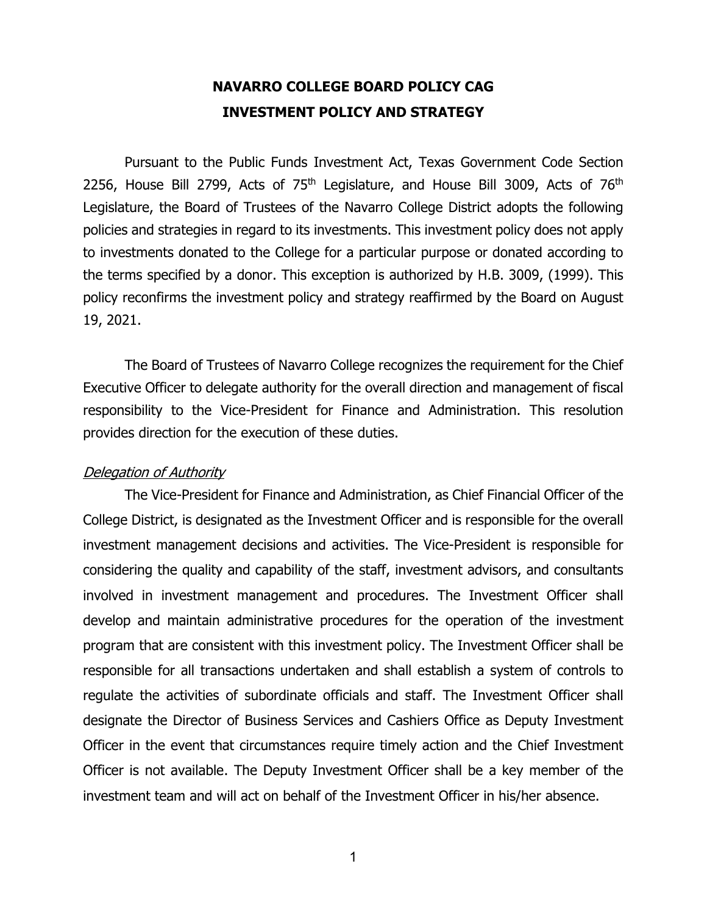# **NAVARRO COLLEGE BOARD POLICY CAG INVESTMENT POLICY AND STRATEGY**

Pursuant to the Public Funds Investment Act, Texas Government Code Section 2256, House Bill 2799, Acts of 75<sup>th</sup> Legislature, and House Bill 3009, Acts of 76<sup>th</sup> Legislature, the Board of Trustees of the Navarro College District adopts the following policies and strategies in regard to its investments. This investment policy does not apply to investments donated to the College for a particular purpose or donated according to the terms specified by a donor. This exception is authorized by H.B. 3009, (1999). This policy reconfirms the investment policy and strategy reaffirmed by the Board on August 19, 2021.

The Board of Trustees of Navarro College recognizes the requirement for the Chief Executive Officer to delegate authority for the overall direction and management of fiscal responsibility to the Vice-President for Finance and Administration. This resolution provides direction for the execution of these duties.

## Delegation of Authority

The Vice-President for Finance and Administration, as Chief Financial Officer of the College District, is designated as the Investment Officer and is responsible for the overall investment management decisions and activities. The Vice-President is responsible for considering the quality and capability of the staff, investment advisors, and consultants involved in investment management and procedures. The Investment Officer shall develop and maintain administrative procedures for the operation of the investment program that are consistent with this investment policy. The Investment Officer shall be responsible for all transactions undertaken and shall establish a system of controls to regulate the activities of subordinate officials and staff. The Investment Officer shall designate the Director of Business Services and Cashiers Office as Deputy Investment Officer in the event that circumstances require timely action and the Chief Investment Officer is not available. The Deputy Investment Officer shall be a key member of the investment team and will act on behalf of the Investment Officer in his/her absence.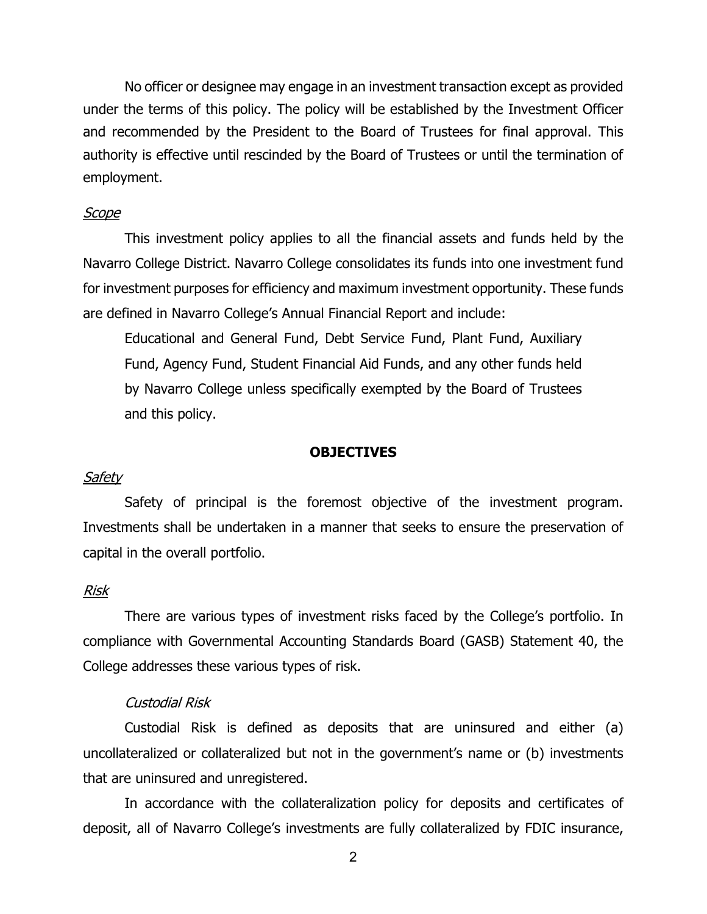No officer or designee may engage in an investment transaction except as provided under the terms of this policy. The policy will be established by the Investment Officer and recommended by the President to the Board of Trustees for final approval. This authority is effective until rescinded by the Board of Trustees or until the termination of employment.

#### Scope

This investment policy applies to all the financial assets and funds held by the Navarro College District. Navarro College consolidates its funds into one investment fund for investment purposes for efficiency and maximum investment opportunity. These funds are defined in Navarro College's Annual Financial Report and include:

Educational and General Fund, Debt Service Fund, Plant Fund, Auxiliary Fund, Agency Fund, Student Financial Aid Funds, and any other funds held by Navarro College unless specifically exempted by the Board of Trustees and this policy.

#### **OBJECTIVES**

#### Safety

Safety of principal is the foremost objective of the investment program. Investments shall be undertaken in a manner that seeks to ensure the preservation of capital in the overall portfolio.

### Risk

There are various types of investment risks faced by the College's portfolio. In compliance with Governmental Accounting Standards Board (GASB) Statement 40, the College addresses these various types of risk.

#### Custodial Risk

Custodial Risk is defined as deposits that are uninsured and either (a) uncollateralized or collateralized but not in the government's name or (b) investments that are uninsured and unregistered.

In accordance with the collateralization policy for deposits and certificates of deposit, all of Navarro College's investments are fully collateralized by FDIC insurance,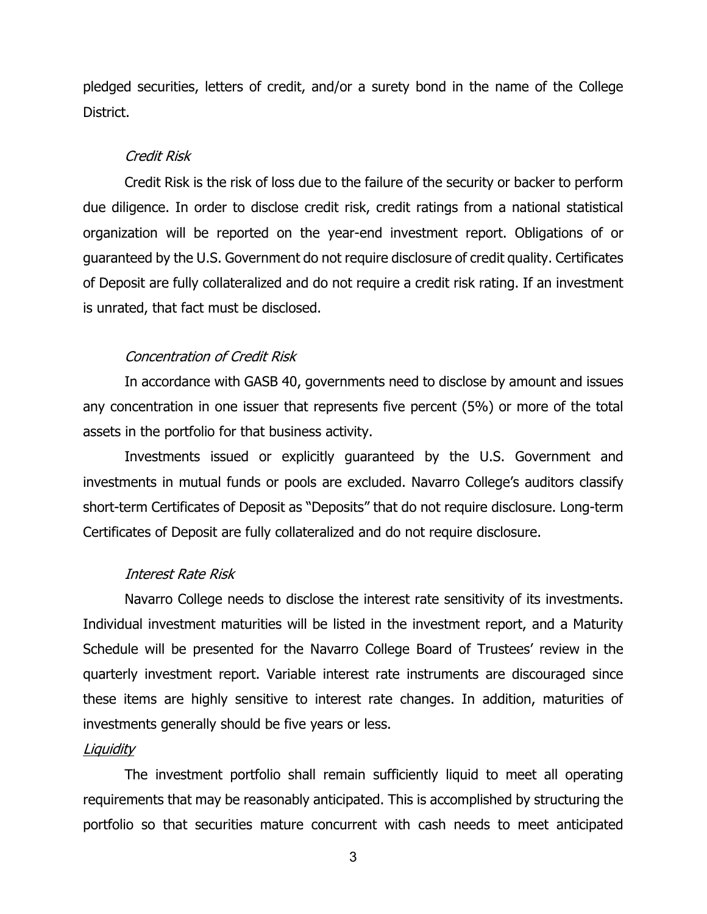pledged securities, letters of credit, and/or a surety bond in the name of the College District.

## Credit Risk

Credit Risk is the risk of loss due to the failure of the security or backer to perform due diligence. In order to disclose credit risk, credit ratings from a national statistical organization will be reported on the year-end investment report. Obligations of or guaranteed by the U.S. Government do not require disclosure of credit quality. Certificates of Deposit are fully collateralized and do not require a credit risk rating. If an investment is unrated, that fact must be disclosed.

## Concentration of Credit Risk

In accordance with GASB 40, governments need to disclose by amount and issues any concentration in one issuer that represents five percent (5%) or more of the total assets in the portfolio for that business activity.

Investments issued or explicitly guaranteed by the U.S. Government and investments in mutual funds or pools are excluded. Navarro College's auditors classify short-term Certificates of Deposit as "Deposits" that do not require disclosure. Long-term Certificates of Deposit are fully collateralized and do not require disclosure.

### Interest Rate Risk

Navarro College needs to disclose the interest rate sensitivity of its investments. Individual investment maturities will be listed in the investment report, and a Maturity Schedule will be presented for the Navarro College Board of Trustees' review in the quarterly investment report. Variable interest rate instruments are discouraged since these items are highly sensitive to interest rate changes. In addition, maturities of investments generally should be five years or less.

### Liquidity

The investment portfolio shall remain sufficiently liquid to meet all operating requirements that may be reasonably anticipated. This is accomplished by structuring the portfolio so that securities mature concurrent with cash needs to meet anticipated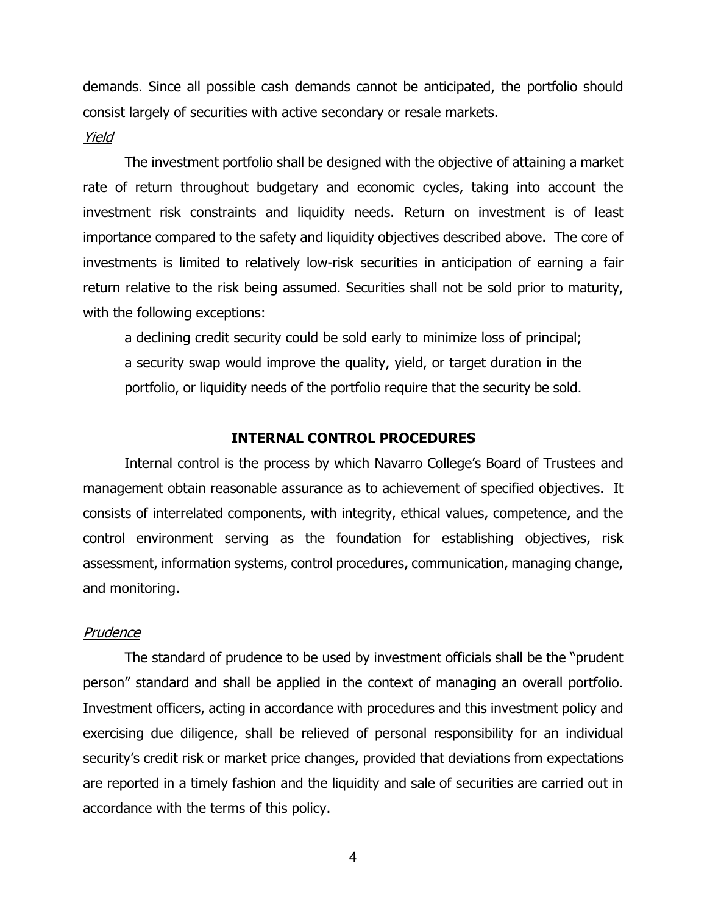demands. Since all possible cash demands cannot be anticipated, the portfolio should consist largely of securities with active secondary or resale markets.

#### Yield

The investment portfolio shall be designed with the objective of attaining a market rate of return throughout budgetary and economic cycles, taking into account the investment risk constraints and liquidity needs. Return on investment is of least importance compared to the safety and liquidity objectives described above. The core of investments is limited to relatively low-risk securities in anticipation of earning a fair return relative to the risk being assumed. Securities shall not be sold prior to maturity, with the following exceptions:

a declining credit security could be sold early to minimize loss of principal; a security swap would improve the quality, yield, or target duration in the portfolio, or liquidity needs of the portfolio require that the security be sold.

## **INTERNAL CONTROL PROCEDURES**

Internal control is the process by which Navarro College's Board of Trustees and management obtain reasonable assurance as to achievement of specified objectives. It consists of interrelated components, with integrity, ethical values, competence, and the control environment serving as the foundation for establishing objectives, risk assessment, information systems, control procedures, communication, managing change, and monitoring.

#### Prudence

The standard of prudence to be used by investment officials shall be the "prudent person" standard and shall be applied in the context of managing an overall portfolio. Investment officers, acting in accordance with procedures and this investment policy and exercising due diligence, shall be relieved of personal responsibility for an individual security's credit risk or market price changes, provided that deviations from expectations are reported in a timely fashion and the liquidity and sale of securities are carried out in accordance with the terms of this policy.

4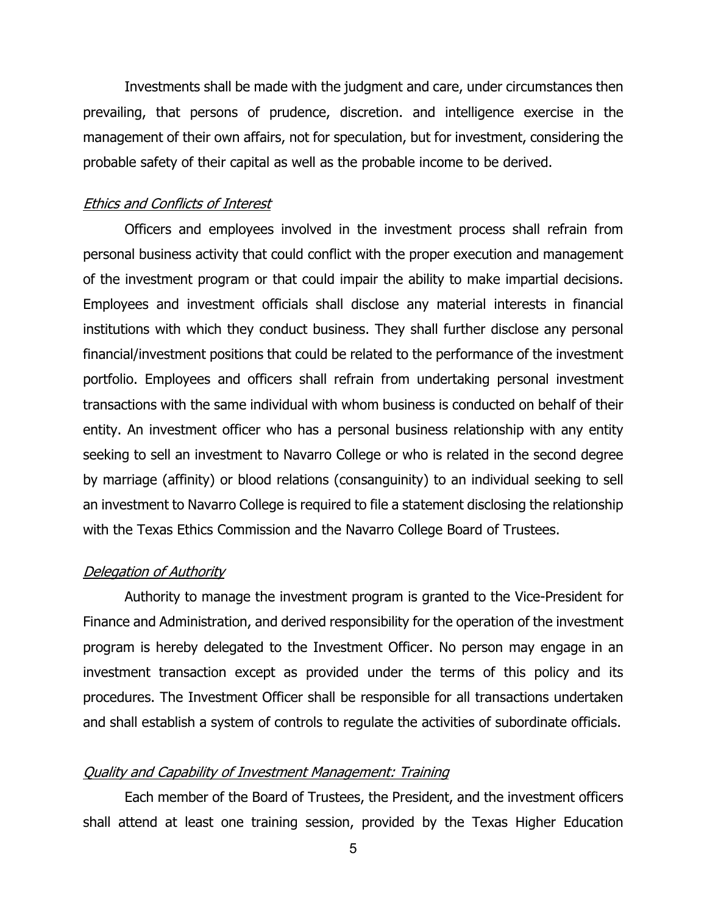Investments shall be made with the judgment and care, under circumstances then prevailing, that persons of prudence, discretion. and intelligence exercise in the management of their own affairs, not for speculation, but for investment, considering the probable safety of their capital as well as the probable income to be derived.

## Ethics and Conflicts of Interest

Officers and employees involved in the investment process shall refrain from personal business activity that could conflict with the proper execution and management of the investment program or that could impair the ability to make impartial decisions. Employees and investment officials shall disclose any material interests in financial institutions with which they conduct business. They shall further disclose any personal financial/investment positions that could be related to the performance of the investment portfolio. Employees and officers shall refrain from undertaking personal investment transactions with the same individual with whom business is conducted on behalf of their entity. An investment officer who has a personal business relationship with any entity seeking to sell an investment to Navarro College or who is related in the second degree by marriage (affinity) or blood relations (consanguinity) to an individual seeking to sell an investment to Navarro College is required to file a statement disclosing the relationship with the Texas Ethics Commission and the Navarro College Board of Trustees.

## Delegation of Authority

Authority to manage the investment program is granted to the Vice-President for Finance and Administration, and derived responsibility for the operation of the investment program is hereby delegated to the Investment Officer. No person may engage in an investment transaction except as provided under the terms of this policy and its procedures. The Investment Officer shall be responsible for all transactions undertaken and shall establish a system of controls to regulate the activities of subordinate officials.

#### Quality and Capability of Investment Management: Training

Each member of the Board of Trustees, the President, and the investment officers shall attend at least one training session, provided by the Texas Higher Education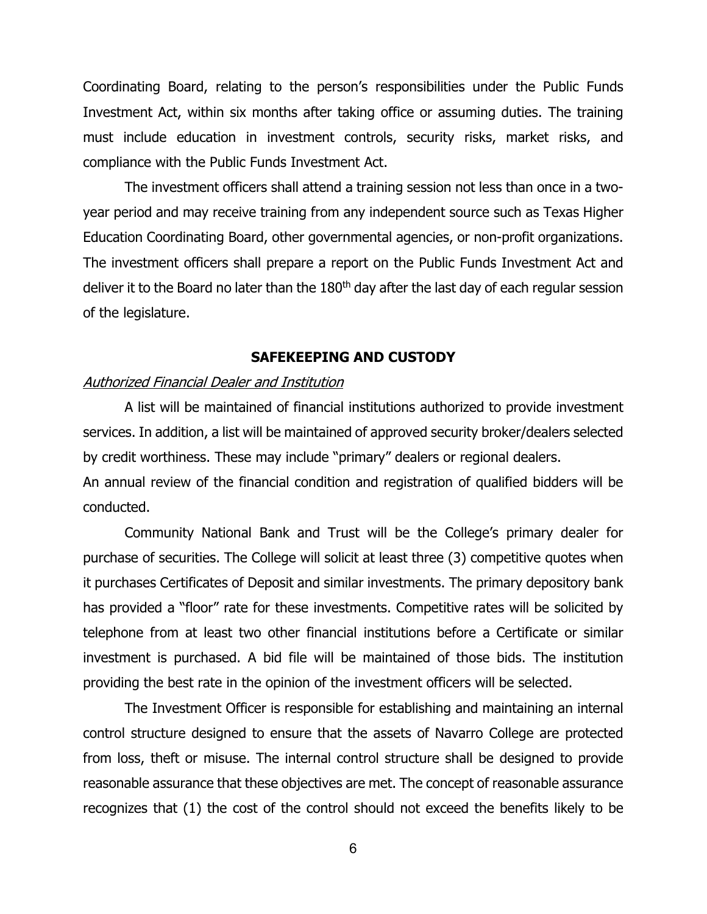Coordinating Board, relating to the person's responsibilities under the Public Funds Investment Act, within six months after taking office or assuming duties. The training must include education in investment controls, security risks, market risks, and compliance with the Public Funds Investment Act.

The investment officers shall attend a training session not less than once in a twoyear period and may receive training from any independent source such as Texas Higher Education Coordinating Board, other governmental agencies, or non-profit organizations. The investment officers shall prepare a report on the Public Funds Investment Act and deliver it to the Board no later than the 180<sup>th</sup> day after the last day of each regular session of the legislature.

## **SAFEKEEPING AND CUSTODY**

## Authorized Financial Dealer and Institution

A list will be maintained of financial institutions authorized to provide investment services. In addition, a list will be maintained of approved security broker/dealers selected by credit worthiness. These may include "primary" dealers or regional dealers. An annual review of the financial condition and registration of qualified bidders will be conducted.

Community National Bank and Trust will be the College's primary dealer for purchase of securities. The College will solicit at least three (3) competitive quotes when it purchases Certificates of Deposit and similar investments. The primary depository bank has provided a "floor" rate for these investments. Competitive rates will be solicited by telephone from at least two other financial institutions before a Certificate or similar investment is purchased. A bid file will be maintained of those bids. The institution providing the best rate in the opinion of the investment officers will be selected.

The Investment Officer is responsible for establishing and maintaining an internal control structure designed to ensure that the assets of Navarro College are protected from loss, theft or misuse. The internal control structure shall be designed to provide reasonable assurance that these objectives are met. The concept of reasonable assurance recognizes that (1) the cost of the control should not exceed the benefits likely to be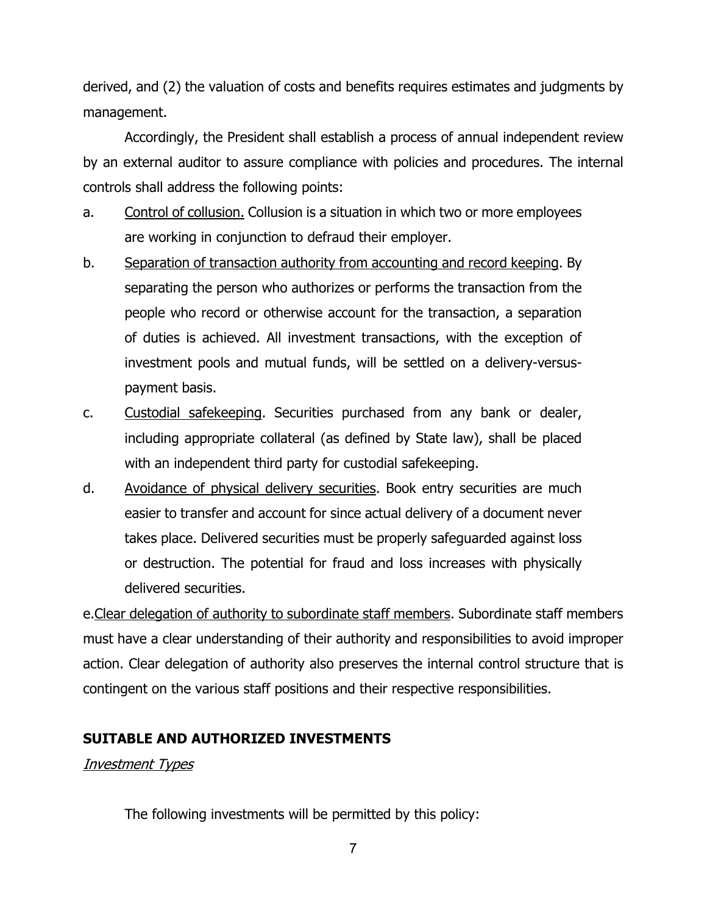derived, and (2) the valuation of costs and benefits requires estimates and judgments by management.

Accordingly, the President shall establish a process of annual independent review by an external auditor to assure compliance with policies and procedures. The internal controls shall address the following points:

- a. Control of collusion. Collusion is a situation in which two or more employees are working in conjunction to defraud their employer.
- b. Separation of transaction authority from accounting and record keeping. By separating the person who authorizes or performs the transaction from the people who record or otherwise account for the transaction, a separation of duties is achieved. All investment transactions, with the exception of investment pools and mutual funds, will be settled on a delivery-versuspayment basis.
- c. Custodial safekeeping. Securities purchased from any bank or dealer, including appropriate collateral (as defined by State law), shall be placed with an independent third party for custodial safekeeping.
- d. Avoidance of physical delivery securities. Book entry securities are much easier to transfer and account for since actual delivery of a document never takes place. Delivered securities must be properly safeguarded against loss or destruction. The potential for fraud and loss increases with physically delivered securities.

e.Clear delegation of authority to subordinate staff members. Subordinate staff members must have a clear understanding of their authority and responsibilities to avoid improper action. Clear delegation of authority also preserves the internal control structure that is contingent on the various staff positions and their respective responsibilities.

## **SUITABLE AND AUTHORIZED INVESTMENTS**

## Investment Types

The following investments will be permitted by this policy: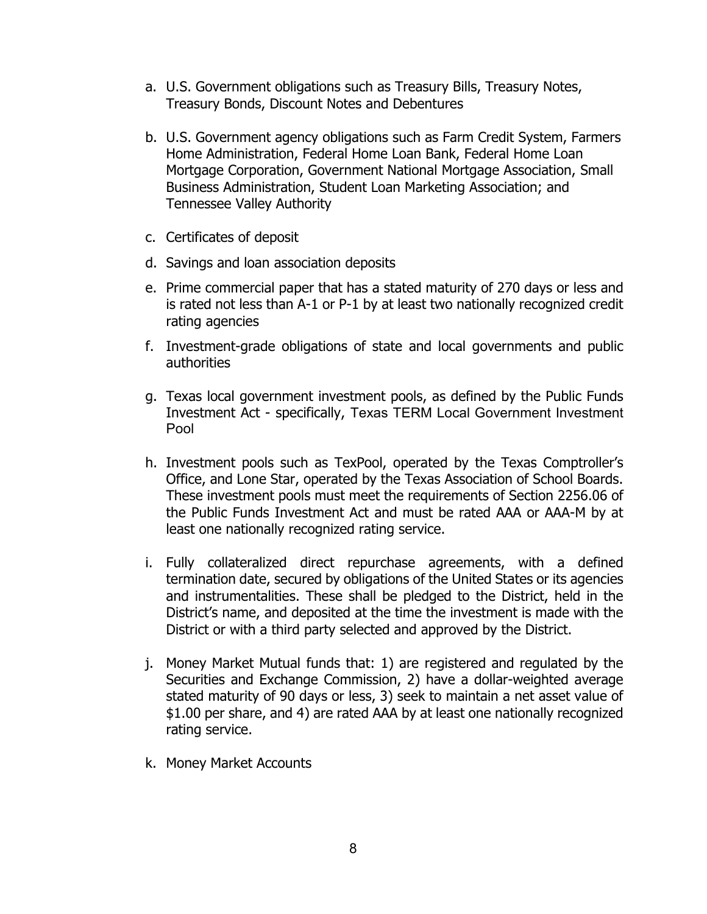- a. U.S. Government obligations such as Treasury Bills, Treasury Notes, Treasury Bonds, Discount Notes and Debentures
- b. U.S. Government agency obligations such as Farm Credit System, Farmers Home Administration, Federal Home Loan Bank, Federal Home Loan Mortgage Corporation, Government National Mortgage Association, Small Business Administration, Student Loan Marketing Association; and Tennessee Valley Authority
- c. Certificates of deposit
- d. Savings and loan association deposits
- e. Prime commercial paper that has a stated maturity of 270 days or less and is rated not less than A-1 or P-1 by at least two nationally recognized credit rating agencies
- f. Investment-grade obligations of state and local governments and public authorities
- g. Texas local government investment pools, as defined by the Public Funds Investment Act - specifically, Texas TERM Local Government Investment Pool
- h. Investment pools such as TexPool, operated by the Texas Comptroller's Office, and Lone Star, operated by the Texas Association of School Boards. These investment pools must meet the requirements of Section 2256.06 of the Public Funds Investment Act and must be rated AAA or AAA-M by at least one nationally recognized rating service.
- i. Fully collateralized direct repurchase agreements, with a defined termination date, secured by obligations of the United States or its agencies and instrumentalities. These shall be pledged to the District, held in the District's name, and deposited at the time the investment is made with the District or with a third party selected and approved by the District.
- j. Money Market Mutual funds that: 1) are registered and regulated by the Securities and Exchange Commission, 2) have a dollar-weighted average stated maturity of 90 days or less, 3) seek to maintain a net asset value of \$1.00 per share, and 4) are rated AAA by at least one nationally recognized rating service.
- k. Money Market Accounts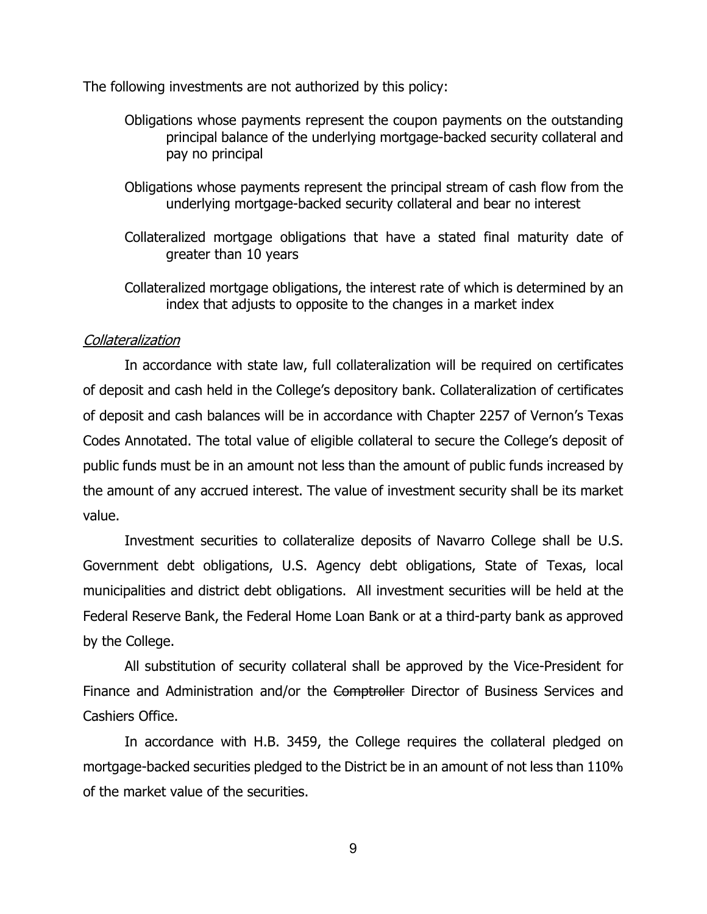The following investments are not authorized by this policy:

- Obligations whose payments represent the coupon payments on the outstanding principal balance of the underlying mortgage-backed security collateral and pay no principal
- Obligations whose payments represent the principal stream of cash flow from the underlying mortgage-backed security collateral and bear no interest
- Collateralized mortgage obligations that have a stated final maturity date of greater than 10 years

Collateralized mortgage obligations, the interest rate of which is determined by an index that adjusts to opposite to the changes in a market index

## **Collateralization**

In accordance with state law, full collateralization will be required on certificates of deposit and cash held in the College's depository bank. Collateralization of certificates of deposit and cash balances will be in accordance with Chapter 2257 of Vernon's Texas Codes Annotated. The total value of eligible collateral to secure the College's deposit of public funds must be in an amount not less than the amount of public funds increased by the amount of any accrued interest. The value of investment security shall be its market value.

Investment securities to collateralize deposits of Navarro College shall be U.S. Government debt obligations, U.S. Agency debt obligations, State of Texas, local municipalities and district debt obligations. All investment securities will be held at the Federal Reserve Bank, the Federal Home Loan Bank or at a third-party bank as approved by the College.

All substitution of security collateral shall be approved by the Vice-President for Finance and Administration and/or the Comptroller Director of Business Services and Cashiers Office.

In accordance with H.B. 3459, the College requires the collateral pledged on mortgage-backed securities pledged to the District be in an amount of not less than 110% of the market value of the securities.

9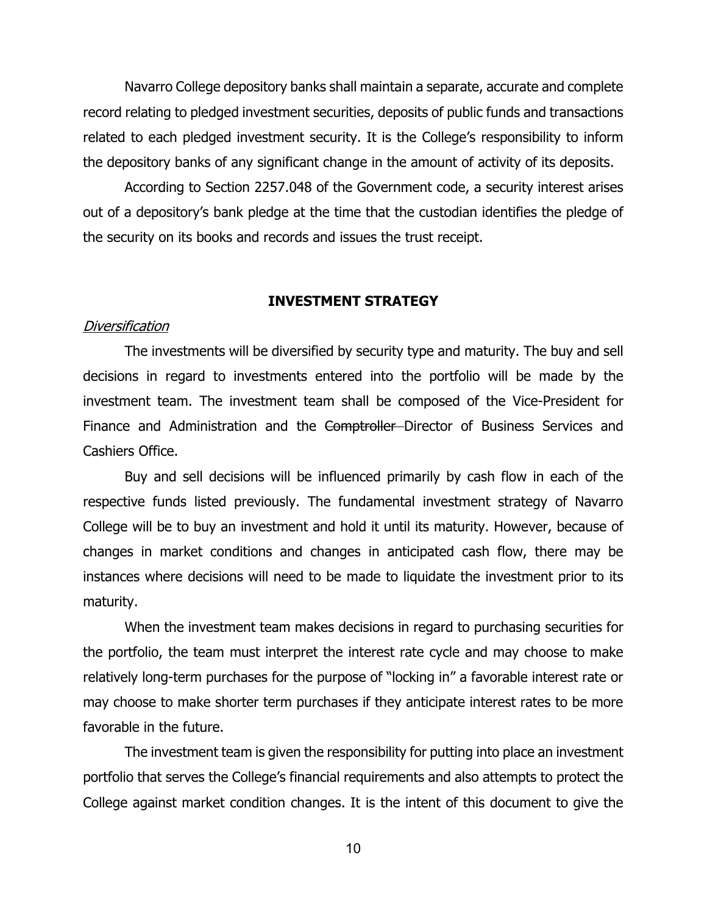Navarro College depository banks shall maintain a separate, accurate and complete record relating to pledged investment securities, deposits of public funds and transactions related to each pledged investment security. It is the College's responsibility to inform the depository banks of any significant change in the amount of activity of its deposits.

According to Section 2257.048 of the Government code, a security interest arises out of a depository's bank pledge at the time that the custodian identifies the pledge of the security on its books and records and issues the trust receipt.

## **INVESTMENT STRATEGY**

#### **Diversification**

The investments will be diversified by security type and maturity. The buy and sell decisions in regard to investments entered into the portfolio will be made by the investment team. The investment team shall be composed of the Vice-President for Finance and Administration and the Comptroller Director of Business Services and Cashiers Office.

Buy and sell decisions will be influenced primarily by cash flow in each of the respective funds listed previously. The fundamental investment strategy of Navarro College will be to buy an investment and hold it until its maturity. However, because of changes in market conditions and changes in anticipated cash flow, there may be instances where decisions will need to be made to liquidate the investment prior to its maturity.

When the investment team makes decisions in regard to purchasing securities for the portfolio, the team must interpret the interest rate cycle and may choose to make relatively long-term purchases for the purpose of "locking in" a favorable interest rate or may choose to make shorter term purchases if they anticipate interest rates to be more favorable in the future.

The investment team is given the responsibility for putting into place an investment portfolio that serves the College's financial requirements and also attempts to protect the College against market condition changes. It is the intent of this document to give the

10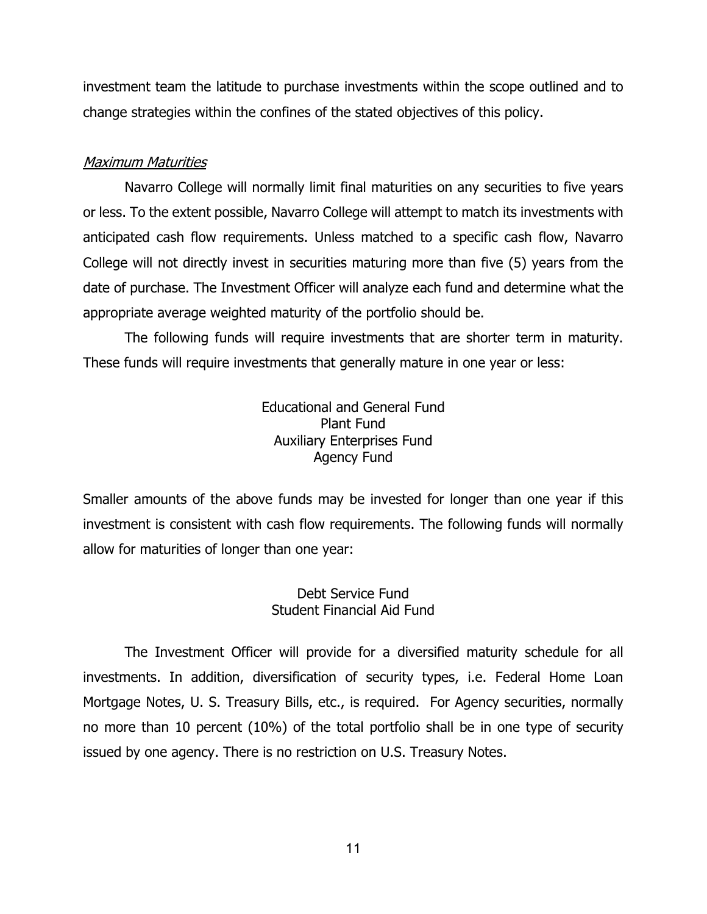investment team the latitude to purchase investments within the scope outlined and to change strategies within the confines of the stated objectives of this policy.

## Maximum Maturities

Navarro College will normally limit final maturities on any securities to five years or less. To the extent possible, Navarro College will attempt to match its investments with anticipated cash flow requirements. Unless matched to a specific cash flow, Navarro College will not directly invest in securities maturing more than five (5) years from the date of purchase. The Investment Officer will analyze each fund and determine what the appropriate average weighted maturity of the portfolio should be.

The following funds will require investments that are shorter term in maturity. These funds will require investments that generally mature in one year or less:

> Educational and General Fund Plant Fund Auxiliary Enterprises Fund Agency Fund

Smaller amounts of the above funds may be invested for longer than one year if this investment is consistent with cash flow requirements. The following funds will normally allow for maturities of longer than one year:

## Debt Service Fund Student Financial Aid Fund

The Investment Officer will provide for a diversified maturity schedule for all investments. In addition, diversification of security types, i.e. Federal Home Loan Mortgage Notes, U. S. Treasury Bills, etc., is required. For Agency securities, normally no more than 10 percent (10%) of the total portfolio shall be in one type of security issued by one agency. There is no restriction on U.S. Treasury Notes.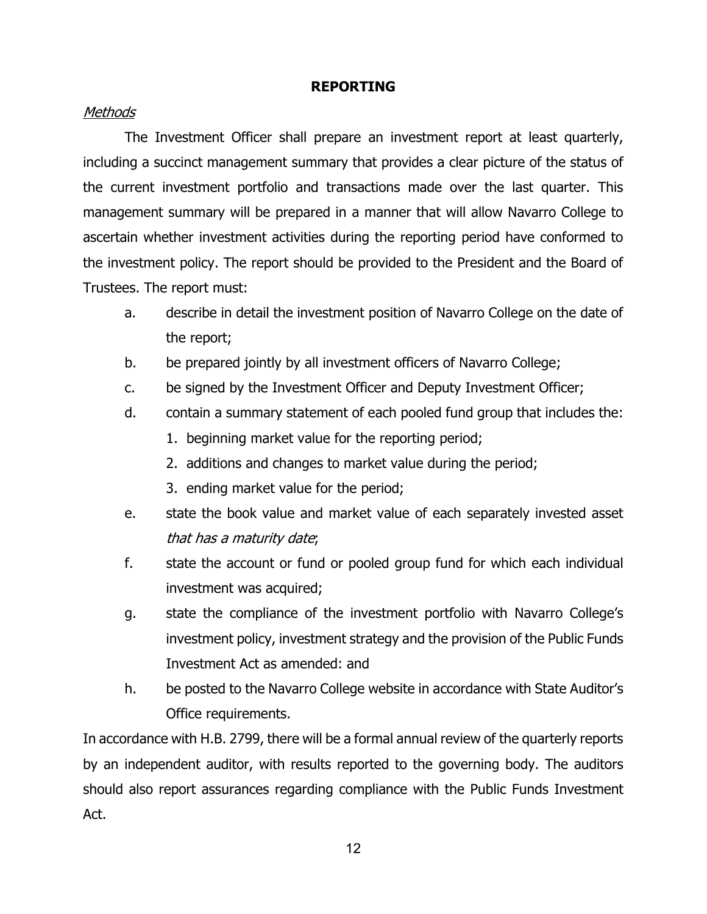## **REPORTING**

## Methods

The Investment Officer shall prepare an investment report at least quarterly, including a succinct management summary that provides a clear picture of the status of the current investment portfolio and transactions made over the last quarter. This management summary will be prepared in a manner that will allow Navarro College to ascertain whether investment activities during the reporting period have conformed to the investment policy. The report should be provided to the President and the Board of Trustees. The report must:

- a. describe in detail the investment position of Navarro College on the date of the report;
- b. be prepared jointly by all investment officers of Navarro College;
- c. be signed by the Investment Officer and Deputy Investment Officer;
- d. contain a summary statement of each pooled fund group that includes the:
	- 1. beginning market value for the reporting period;
	- 2. additions and changes to market value during the period;
	- 3. ending market value for the period;
- e. state the book value and market value of each separately invested asset that has a maturity date;
- f. state the account or fund or pooled group fund for which each individual investment was acquired;
- g. state the compliance of the investment portfolio with Navarro College's investment policy, investment strategy and the provision of the Public Funds Investment Act as amended: and
- h. be posted to the Navarro College website in accordance with State Auditor's Office requirements.

In accordance with H.B. 2799, there will be a formal annual review of the quarterly reports by an independent auditor, with results reported to the governing body. The auditors should also report assurances regarding compliance with the Public Funds Investment Act.